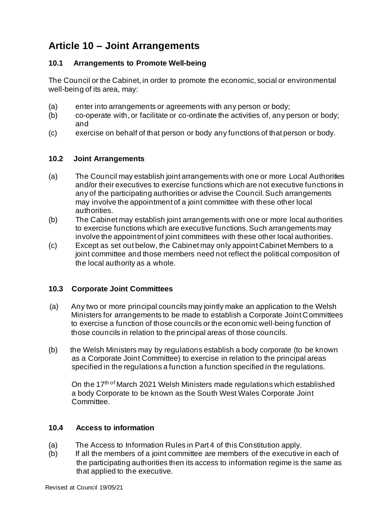# **Article 10 – Joint Arrangements**

## **10.1 Arrangements to Promote Well-being**

The Council or the Cabinet, in order to promote the economic, social or environmental well-being of its area, may:

- (a) enter into arrangements or agreements with any person or body;
- (b) co-operate with, or facilitate or co-ordinate the activities of, any person or body; and
- (c) exercise on behalf of that person or body any functions of that person or body.

#### **10.2 Joint Arrangements**

- (a) The Council may establish joint arrangements with one or more Local Authorities and/or their executives to exercise functions which are not executive functions in any of the participating authorities or advise the Council. Such arrangements may involve the appointment of a joint committee with these other local authorities.
- (b) The Cabinet may establish joint arrangements with one or more local authorities to exercise functions which are executive functions. Such arrangements may involve the appointment of joint committees with these other local authorities.
- (c) Except as set out below, the Cabinet may only appoint Cabinet Members to a joint committee and those members need not reflect the political composition of the local authority as a whole.

### **10.3 Corporate Joint Committees**

- (a) Any two or more principal councils may jointly make an application to the Welsh Ministers for arrangements to be made to establish a Corporate Joint Committees to exercise a function of those councils or the economic well-being function of those councils in relation to the principal areas of those councils.
- (b) the Welsh Ministers may by regulations establish a body corporate (to be known as a Corporate Joint Committee) to exercise in relation to the principal areas specified in the regulations a function a function specified in the regulations.

On the 17<sup>th of</sup> March 2021 Welsh Ministers made regulations which established a body Corporate to be known as the South West Wales Corporate Joint Committee.

### **10.4 Access to information**

- (a) The Access to Information Rules in Part 4 of this Constitution apply.
- (b) If all the members of a joint committee are members of the executive in each of the participating authorities then its access to information regime is the same as that applied to the executive.